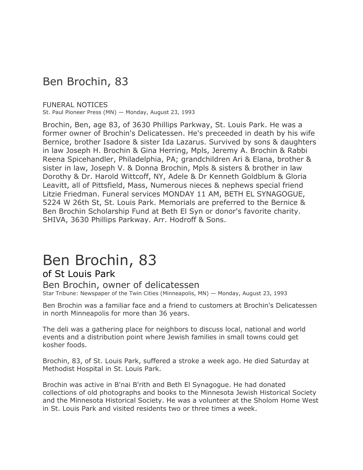## Ben Brochin, 83

#### FUNERAL NOTICES

St. Paul Pioneer Press (MN) — Monday, August 23, 1993

Brochin, Ben, age 83, of 3630 Phillips Parkway, St. Louis Park. He was a former owner of Brochin's Delicatessen. He's preceeded in death by his wife Bernice, brother Isadore & sister Ida Lazarus. Survived by sons & daughters in law Joseph H. Brochin & Gina Herring, Mpls, Jeremy A. Brochin & Rabbi Reena Spicehandler, Philadelphia, PA; grandchildren Ari & Elana, brother & sister in law, Joseph V. & Donna Brochin, Mpls & sisters & brother in law Dorothy & Dr. Harold Wittcoff, NY, Adele & Dr Kenneth Goldblum & Gloria Leavitt, all of Pittsfield, Mass, Numerous nieces & nephews special friend Litzie Friedman. Funeral services MONDAY 11 AM, BETH EL SYNAGOGUE, 5224 W 26th St, St. Louis Park. Memorials are preferred to the Bernice & Ben Brochin Scholarship Fund at Beth El Syn or donor's favorite charity. SHIVA, 3630 Phillips Parkway. Arr. Hodroff & Sons.

# Ben Brochin, 83

### of St Louis Park

### Ben Brochin, owner of delicatessen

Star Tribune: Newspaper of the Twin Cities (Minneapolis, MN) — Monday, August 23, 1993

Ben Brochin was a familiar face and a friend to customers at Brochin's Delicatessen in north Minneapolis for more than 36 years.

The deli was a gathering place for neighbors to discuss local, national and world events and a distribution point where Jewish families in small towns could get kosher foods.

Brochin, 83, of St. Louis Park, suffered a stroke a week ago. He died Saturday at Methodist Hospital in St. Louis Park.

Brochin was active in B'nai B'rith and Beth El Synagogue. He had donated collections of old photographs and books to the Minnesota Jewish Historical Society and the Minnesota Historical Society. He was a volunteer at the Sholom Home West in St. Louis Park and visited residents two or three times a week.